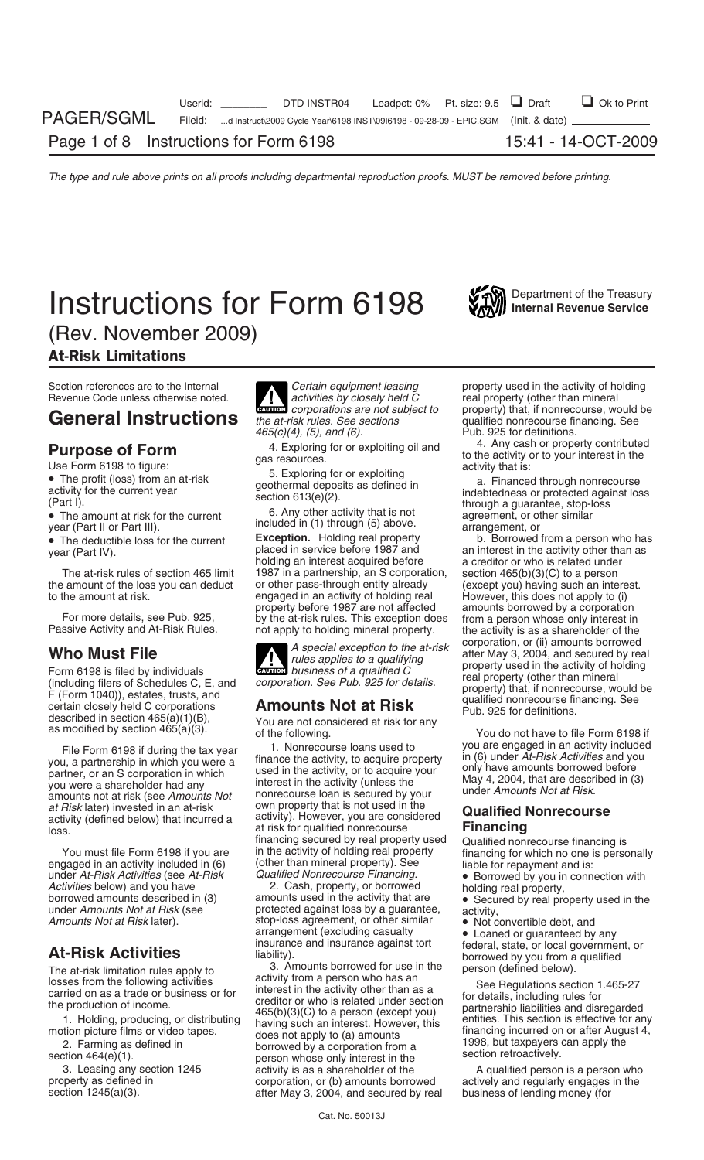# **Instructions for Form 6198** Will Department of the Treasury



(Rev. November 2009)

# At-Risk Limitations

F (Form 1040)), estates trusts, and<br>
E (Form 1040)), estates, trusts, and<br>
described in section 465(a)(1)(B),<br>
as modified by section 465(a)(3). The following.<br>
Summer business of a qualified corporation. See Pub. 925 for

under *At-Risk Activities* (see *At-Risk Qualified Nonrecourse Financing.* • Borrowed by you in connection with

Revenue Code unless otherwise noted. **1. Activities by closely held C** real property (other than mineral corporations are not subject to property) that, if nonrecourse, we **! General Instructions** the at-risk rules. See sections qualified nonrecourse financing. See <br>465(c)(4), (5), and (6). Fig. 325 for definitions.

• The deductible loss for the current **Exception.** Holding real property b. Borrowed from a person who has placed in service before 1987 and an interest in the activity other than as year (Part IV). holding an interest acquired before a creditor or who is related under<br>1987 in a partnership, an S corporation, section 465(b)(3)(C) to a person The at-risk rules of section 465 limit 1987 in a partnership, an S corporation, section 465 limit 4050 and part the amount of the loss you can deduct or other pass-through entity already (except you) having such an interest.<br>to the amount at risk. engaged in an activity of holding real However, this does not apply to (i) to the amount at risk. engaged in an activity of holding real However, this does not apply to (i)<br>property before 1987 are not affected amounts borrowed by a corporation property before 1987 are not affected amounts borrowed by a corporation<br>For more details, see Pub. 925, by the at-risk rules. This exception does from a person whose only interest in<br>Passive Activity and At-Risk Rules. not

**ENTION** business of a qualified C

File Form 6198 if during the tax year 1. Nonrecourse loans used to you are engaged in an activity included<br>you, a partnership in which you were a finance the activity, to acquire property in (6) under At-Risk Activities an you were a shareholder had any interest in the activity (unless the the tway 4, 2004, that are description amounts not at Risk.<br>at Risk later) invested in an at-risk own property that is not used in the **Cundified Nonrecou** at *Risk* later) invested in an at-risk own property that is not used in the<br>activity (defined below) that incurred a activity. However, you are considered **Qualified Nonrecourse**<br>local at risk for qualified nonrecourse **F** loss. **at risk for qualified nonrecourse**<br> **Financing** secured by real property used financing secured by real property used Qualified nonrecourse financing is<br>in the activity of holding real property financing for which no one is perso You must file Form 6198 if you are in the activity of holding real property financing for which no one is personally engaged in an activity included in (6) (other than mineral property). See liable for repayment and is:<br>un

borrowed amounts described in (3) amounts used in the activity that are **•** Secured by real property used in the under *Amounts Not at Risk* (see *property* activity, under *Amounts Not at Risk* (see protected against loss by a guarantee, activity, and a guarantee, activity, and the strop-loss agreement, or other similar Amounts Not at Risk later).<br> **At-Risk Activities** and insurance and insurance against tort<br> **At-Risk Activities** insurance and insurance against tort<br>
liability).<br> **At-Risk Activities** is a liability in the liability of th

The at-risk limitation rules apply to<br>
losses from the following activities<br>
carried on as a trade or business or for<br>
the production of income.<br>
1. Holding, producing, or distributing<br>
motion picture films or video tapes. 3. Leasing any section 1245 activity is as a shareholder of the A qualified person is a person who<br>corporation. or (b) amounts borrowed actively and regularly engages in the property as defined in example in corporation, or (b) amounts borrowed actively and regularly engages in the section 1245(a)(3).  $\qquad \qquad$  after May 3, 2004, and secured by real business of lending money (for after May 3, 2004, and secured by real

Section references are to the Internal **Certain equipment leasing** property used in the activity of holding Revenue Code unless otherwise noted. **CAUTION** *corporations are not subject to* property) that, if nonrecourse, would be the at-risk rules. See sections qualified nonrecourse financing. See Pub. 925 for definitions.<br>4. Any cash or property contributed

**Purpose of Form**<br>
Use Form 6198 to figure:<br>
• The profit (loss) from an at-risk<br>
activity for the current year<br>
(Part I).<br>
• The amount at risk for the current<br>
section 613(e)(2).<br>
• The amount at risk for the current<br>
y

an interest in the activity other than as<br>a creditor or who is related under **Who Must File**<br>Form 6198 is filed by individuals **and the activity of the supplies to a qualifying**<br>Form 6198 is filed by individuals **and the supplies to a qualified C** property used in the activity of holding

- 
- 
-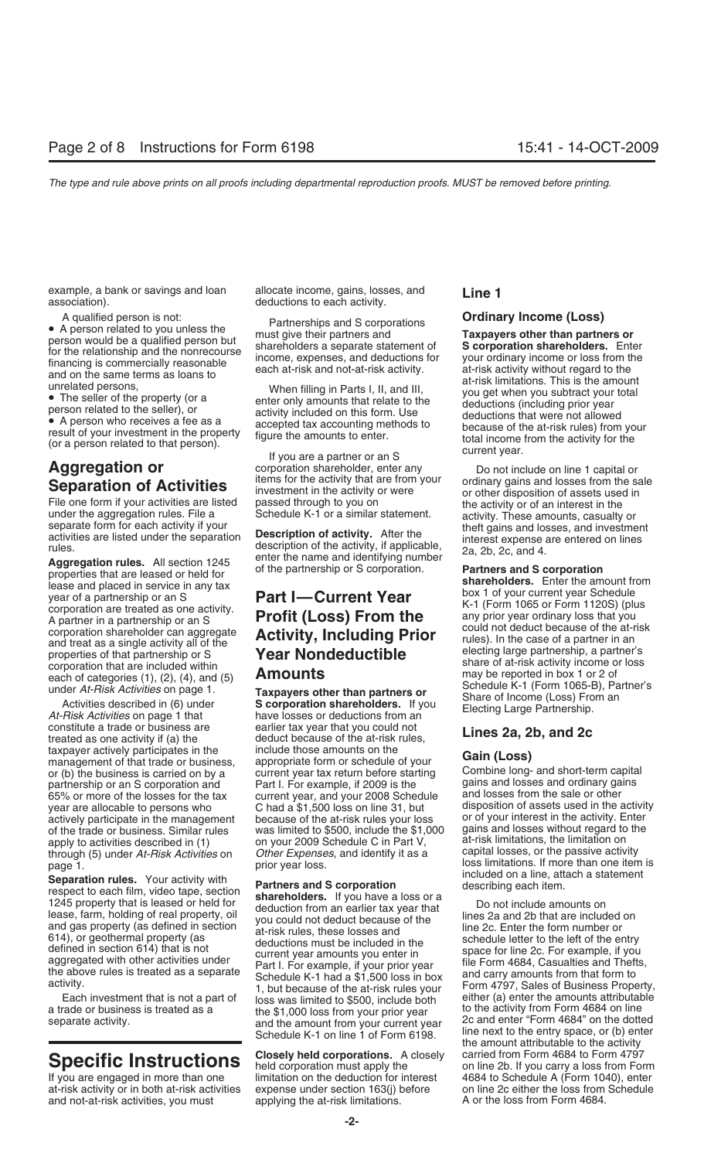example, a bank or savings and loan allocate income, gains, losses, and **Line 1** association).

**Aggregation or**<br> **Aggregation of contention** is the activity interaction of **Activities**<br> **Separation of Activities** investment in the activity or were<br>
File one form if your activities are listed passed through to you on

constitute a trade or business are earlier tax year that you could not<br>treated as one activity if (a) the deduct because of the at-risk rules,<br>taxpayer actively participates in the include those amounts on the **Cating (Lan** taxpayer actively participates in the include those amounts on the **Gain (Loss)**<br>management of that trade or business, appropriate form or schedule of your<br>or (b) the business is carried on by a current year tax return bef or (b) the business is carried on by a current year tax return before starting Combine long- and short-term capita<br>partnership or an S corporation and Part L For example if 2009 is the gains and losses and ordinary gains partnership or an S corporation and Part I. For example, if 2009 is the gains and losses and ordinary gains and  $\frac{1}{100}$  and losses and ordinary gains and losses and ordinary gains and losses from the sale or other 65% or more of the losses for the tax current year, and your 2008 Schedule vear are allocable to persons who  $\sim$  C had a \$1,500 loss on line 31, but actively participate in the management because of the at-risk rules your loss or of your interest in the activity. Enter<br>of the trade or husiness. Similar rules was limited to \$500, include the \$1,000 gains and losses with of the trade or business. Similar rules was limited to \$500, include the \$1,000 gains and losses without regard to<br>Apply to activities described in (1) on your 2009 Schedule C in Part V. at-risk limitations, the limitation apply to activities described in (1) on your 2009 Schedule C in Part V, at-risk limitations, the limitation on<br>through (5) under At-Risk Activities on Other Expenses, and identify it as a capital losses, or the passive act through (5) under At-Risk Activities on

Separation rules. Your activity with<br>
respect to each film, video tape, section<br>
1245 property that is leased or held for<br>
lease, farm, holding of real property, oil<br>
and gas property (as defined in section<br>
614), or geoth

at-risk activity or in both at-risk activities expense under section 163(j) before on line 2c either the loss from<br>and not-at-risk activities, you must applying the at-risk limitations. A or the loss from Form 4684. and not-at-risk activities, you must

A qualified person is not:<br>
• A person related to you unless the<br>
person could be a qualified person but<br>
for the relationship and the nonrecourse<br>
financing is comperation than partners are separate statement of<br>
financin

year are allocable to persons who C had a \$1,500 loss on line 31, but disposition of assets used in the activity actively participate in the management because of the at-risk rules your loss or of your interest in the acti page 1. prior year loss.<br>
prior year loss.<br>
prior year loss.<br>
prior year loss.<br>
prior year loss.<br>
prior year loss.<br>
included on a line, attach a statement

the above rules is treated as a separate<br>activity.<br>activity. The schedule K-1 had a \$1,500 loss in box<br>and carry amounts from that form to<br>Form 4797, Sales of Business Property,<br>Each investment that is not a part of<br>loss w Each investment that is not a part of loss was limited to \$500, include both either (a) enter the amounts attributable<br>a trade or business is treated as a the \$1,000 loss from your prior year to the activity from Form 4684 Schedule K-1 on line 1 of Form 6198. line next to the entry space, or (b) enter the amount attributable to the activity<br>carried from Form 4684 to Form 4797 **COSED ANSIGE INSTRUCTIONS** Closely held corporations. A closely carried from Form 4684 to Form 4797 held corporation must apply the on line 2b. If you carry a loss from Form If you carry a loss from Form if you carry a lo Imitation on the deduction for interest 4684 to Schedule A (Form 1040), enter<br>expense under section 163(j) before on line 2c either the loss from Schedule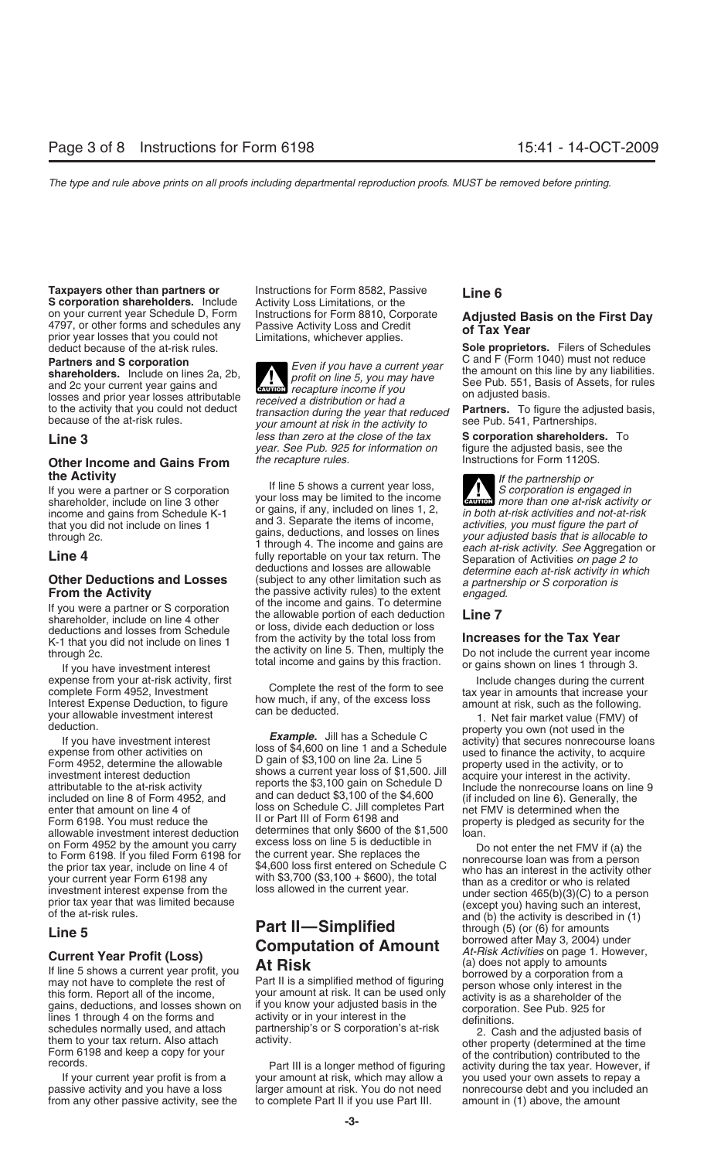on your current year Schedule D, Form Instructions for Form 8810, Corporate<br>4797, or other forms and schedules any Passive Activity Loss and Credit<br>prior year losses that you could not Limitations, whichever applies.<br>deduc

schedules normally used, and attach partnership's or S corporation's at-risk<br>them to your tax return. Also attach activity.<br>Form 6198 and keep a copy for your<br>records.<br>Form 6198 and keep a copy for your<br>Part III is a longe

**Taxpayers other than partners or** Instructions for Form 8582, Passive **Line 6**<br>**S corporation shareholders.** Include Activity Loss Limitations, or the

**EAUTION** recapture income if you losses and prior year losses attributable<br>to the activity that you could not deduct<br>because of the at-risk rules.<br>because of the at-risk rules.<br>your amount at risk in the activity to see Pub. 541, Partnerships. **Line 3** *less than zero at the close of the tax* **S corporation shareholders.** To *year. See Pub. 925 for information on* figure the adjusted basis, see the *year. See Pub. 925 for information on* **Other Income and Gains From** *the recapture rules.* Instructions for Form 1120S.

If you were a partner or S corporation<br>
shareholder, include on line 3 other your loss may be limited to the income<br> **Extract more than one at-risk activity or** Fincome and gains from Schedule K-1 or gains, if any, included on lines 1, 2,<br>that you did not include on lines 1 and 3. Separate the items of income,<br>through 2c.<br>**Line 4** and 3. Separate the items of income,<br>through 4. Th From the Activity<br>
If you were a partner or S corporation<br>
shareholder, include on line 4 other<br>
deductions and losses from Schedule<br>
K-1 that you did not include on lines 1<br>
The 2<br>
the allowable portion of each deduction<br> K-1 that you did not include on lines 1<br>the activity on line 5. Then, multiply the Do not include the current year income<br>it you have investment interest<br>expense from your at-risk activity, first<br>expense from your at-risk

investment interest deduction<br>attributable to the at-risk activity<br>included on line 8 of Form 4952, and<br>enter that amount on line 4 of<br>Form 6198 You must reduce the<br>Form 6198 You must reduce the<br>Enter that amount on line 4 Form 6198. You must reduce the III or Part III of Form 6198 and property is pledged as security for the allowable investment interest deduction determines that only \$600 of the \$1,500 loan.<br>on Form 4952 by the amount you carry excess loss on line 5 is deductible in on Form 4952 by the amount you carry excess loss on line 5 is deductible in<br>to Form 6198. If you filed Form 6198 for the current year. She replaces the<br>the prior tax year, include on line 4 of  $$4,600$  loss first entered

If your current year profit is from a your amount at risk, which may allow a you used your own assets to repay a<br>passive activity and you have a loss larger amount at risk. You do not need nonrecourse debt and you included larger amount at risk. You do not need<br>to complete Part II if you use Part III. from any other passive activity, see the to complete Part II if you use Part III. amount in (1) above, the amount

**Sole proprietors.** Filers of Schedules. **Partners and S corporation**<br> **Even if you have a current year**<br> **C** and F (Form 1040) must not reduce<br>
the amount on this line by any liabilities.<br>
See Pub. 551, Basis of Assets, for rules<br>
and 2c your current year gains

**the Activity**<br>If you were a partner or S corporation **If line 5 shows a current year loss,** *If the partnership or*<br>A S corporation is engaged in *S* corporation is engaged in *S* corporation is engaged in *S* corporation

expense from your at-risk activity, first<br>
complete the rest of the form to see<br>
Interest Expense Deduction, to figure<br>
letterest the content tax year in amounts that increase your<br>
letterest expense Deduction.<br>
Sample, Ji

From the section 465(b)(3)(C) to a person<br>of the at-risk rules.<br> **Example 18** in the current year. The section 465(b)(3)(C) to a person<br>
of the at-risk rules.<br> **Example 18** in the activity is described in (1)<br> **Example 18**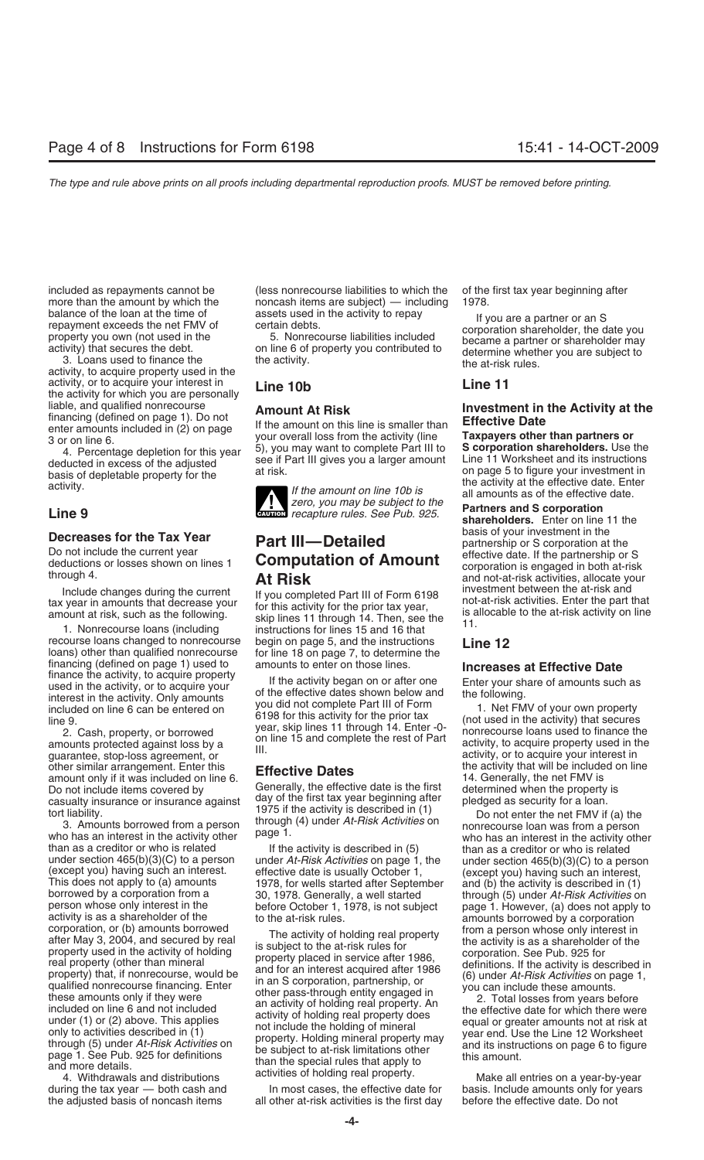activity, or to acquire your interest in **Line 10b Line 11** the activity for which you are personally liable, and qualified nonrecourse

recourse loans changed to nonrecourse begin on page 5, and the instructions **Line 12** loans) other than qualified nonrecourse for line 18 on page 7, to determine the financing (defined on page 1) used to amounts to enter on those lines.<br>
finance the activity, to acquire property<br>
used in the activity, or to acquire your<br>
interest in the activity. Only amounts<br>
wou did not complete Date

other similar arrangement. Enter this **Effective Dates** the activity that will be included on line amount only if it was included on line 6. **Effective Dates** amount only if it was included on line 6. 14. Generally, the ne Do not include items covered by Generally, the effective date is the first determined when the property day of the first tax year beginning after pledged as security for a loan.

under section 465(b)(3)(C) to a person under At-Risk Activities on page 1, the under section 465(b)(3)(C) to a person (except you) having such an interest.<br>
(except you) having such an interest. effective date is usually O person whose only interest in the before October 1, 1978, is not subject<br>corporation, or (b) amounts borrowed<br>corporation, or (b) amounts borrowed<br>after May 3, 2004, and secured by real<br>after May 3, 2004, and secured by re

included as repayments cannot be (less nonrecourse liabilities to which the of the first tax year beginning after more than the amount by which the noncash items are subject) — including 1978.



**zero, you may be subject to the Partners and S corporation**<br>**Line 9 CAUTION** *recapture rules. See Pub. 925.*<br> **Partners and S corporation** 

Include changes during the current If you completed Part III of Form 6198 investment between the at-risk and<br>tax year in amounts that decrease your for this activity for the prior tax year,<br>amount at risk, such as the foll

during the tax year — both cash and In most cases, the effective date for basis. Include amounts only for years the adjusted basis of noncash items all other at-risk activities is the first day before the effective date. Do not

balance of the loan at the time of assets used in the activity to repay<br>repayment exceeds the net FMV of ertain debts.<br>property you own (not used in the 5. Nonrecourse liabilities included<br>activity) that secures the debt.

liable, and qualified nonrecourse<br>
financing (defined on page 1). Do not<br>
enter amounts included in (2) on page<br>
3 or on line 6.<br>
4. Percentage depletion for this year<br>
4. Percentage depletion for this year<br>
4. Percentage

shareholders. Enter on line 11 the basis of your investment in the **Decreases for the Tax Year Part III—Detailed**<br>
Do not include the current year<br>
deductions or losses shown on lines 1<br>
through 4.<br> **At Risk**<br> **At Risk**<br> **At Risk**<br> **At Risk**<br> **At Risk**<br> **At Risk**<br> **At Risk**<br> **At Risk** 

included on line 6 can be entered on<br>
included on line 6 can be entered on<br>
line 9.<br>
2. Cash, property, or borrowed<br>
amounts protected against loss by a<br>
guarantee, stop-loss agreement, or<br>  $\begin{array}{c|c|c|c|c|c|c|c|c} \text{linear} & \text$ 

casualty insurance or insurance against day of the first tax year beginning after<br>tort liability.<br>3. Amounts borrowed from a person through (4) under At-Risk Activities on<br>than as a creditor or who is related than as a cre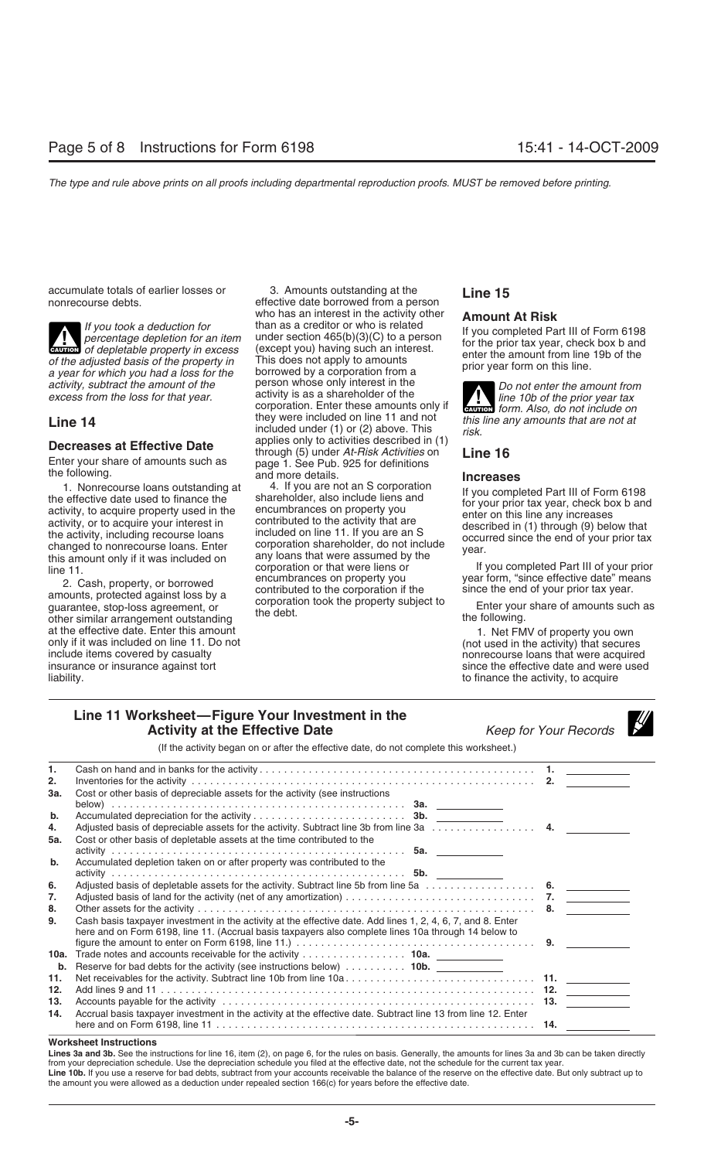at the effective date. Enter this amount only if it was included on line 11. Do not only if it was included on line 11. Do not only if it was included on line 11. Do not include items covered by casualty include items covered by casualty<br>
insurance or insurance against tort<br>
insurance or insurance against tort<br>
insurance or insurance against tort insurance or insurance against tort interest of the effective date and were used liability.<br>Interest to finance the activity, to acquire

accumulate totals of earlier losses or and the secumulate totals of earlier losses or a seffective date borrowed from a person **Line 15**<br> **Example 15** effective date borrowed from a person who has an interest in the activity other **Amount At Risk**<br>than as a creditor or who is related If you took a deduction for<br>
than as a creditor or who is related<br>
the percentage depletion for an item<br>
of depletable property in excess<br>
(except you) having such an interest.<br>
of the adjusted basis of the property in<br>
th of the adjusted basis of the property in This does not apply to amounts<br>a year for which you had a loss for the borrowed by a corporation from a prior year form on this line.<br>activity subtract the amount of the person whos activity, subtract the amount of the **person whose only interest in the** *Do not enter the amount from* excess from the loss for that year. <br>**activity** is as a shareholder of the *Do not enter the prior vear tax* corporation. Enter these amounts only if **CAUTION** form. Also, do not include on<br>they were included on line 11 and not this line any amounts that are not at **Line 14** *they were included on line 11 and not this*<br>included under (1) or (2) above. This *risk.*<br>**Programs on Financial anglies** only to activities described in (1) **Decreases at Effective Date** applies only to activities described in (1)<br>
Enter your share of amounts such as page 1. See Pub. 925 for definitions<br>
the following. and more details. **Increases** 

1. Nonrecourse loans outstanding at the effective date used to finance the shareholder, also include liens and activity, to acquire property used in the encumbrances on property you activity, to acquire property used in th 2. Cash, property, or borrowed<br>amounts, protected against loss by a<br>guarantee, stop-loss agreement, or the debt.<br>other similar arrangement outstanding<br>other similar arrangement outstanding<br>other similar arrangement outstan

**ENTION** form. Also, do not include on

to finance the activity, to acquire

## **Line 11 Worksheet—Figure Your Investment in the Activity at the Effective Date** *Keep for Your Records*

|  | n for Your Records |  |
|--|--------------------|--|

(If the activity began on or after the effective date, do not complete this worksheet.)

| 1.<br>2.   | Inventories for the activity respectively and the control of the control of the control of the control of the control of the control of the control of the control of the control of the control of the control of the control                                                                                                                           |  |
|------------|----------------------------------------------------------------------------------------------------------------------------------------------------------------------------------------------------------------------------------------------------------------------------------------------------------------------------------------------------------|--|
| 3а.        | Cost or other basis of depreciable assets for the activity (see instructions                                                                                                                                                                                                                                                                             |  |
| b.<br>4.   | Adjusted basis of depreciable assets for the activity. Subtract line 3b from line 3a $\ldots \ldots \ldots \ldots$                                                                                                                                                                                                                                       |  |
| 5а.        | Cost or other basis of depletable assets at the time contributed to the                                                                                                                                                                                                                                                                                  |  |
| b.         | Accumulated depletion taken on or after property was contributed to the                                                                                                                                                                                                                                                                                  |  |
| 6.<br>7.   |                                                                                                                                                                                                                                                                                                                                                          |  |
| 8.         |                                                                                                                                                                                                                                                                                                                                                          |  |
| 9.         | Cash basis taxpayer investment in the activity at the effective date. Add lines 1, 2, 4, 6, 7, and 8. Enter<br>here and on Form 6198, line 11. (Accrual basis taxpayers also complete lines 10a through 14 below to<br>figure the amount to enter on Form 6198, line 11.) $\ldots \ldots \ldots \ldots \ldots \ldots \ldots \ldots \ldots \ldots \ldots$ |  |
| b.         | Reserve for bad debts for the activity (see instructions below)  10b.                                                                                                                                                                                                                                                                                    |  |
| 11.        |                                                                                                                                                                                                                                                                                                                                                          |  |
| 12.        |                                                                                                                                                                                                                                                                                                                                                          |  |
| 13.<br>14. | Accrual basis taxpayer investment in the activity at the effective date. Subtract line 13 from line 12. Enter                                                                                                                                                                                                                                            |  |
|            |                                                                                                                                                                                                                                                                                                                                                          |  |

### **Worksheet Instructions**

**Lines 3a and 3b.** See the instructions for line 16, item (2), on page 6, for the rules on basis. Generally, the amounts for lines 3a and 3b can be taken directly from your depreciation schedule. Use the depreciation schedule you filed at the effective date, not the schedule for the current tax year. **Line 10b.** If you use a reserve for bad debts, subtract from your accounts receivable the balance of the reserve on the effective date. But only subtract up to the amount you were allowed as a deduction under repealed section 166(c) for years before the effective date.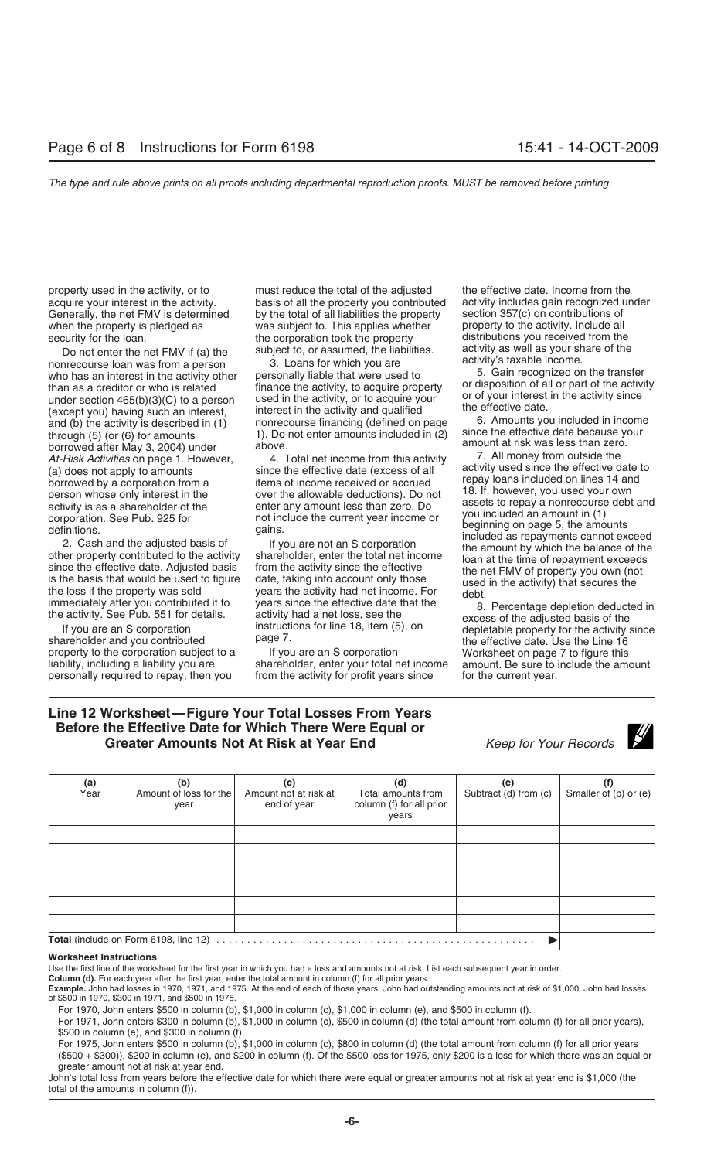when the property is pledged as was subject to. This applies whether

Do not enter the net FMV if (a) the subject to, or assumed, the liabilities. activity as well as your share of the nonrecourse loan was from a person 3. Loans for which you are activity's taxable income.<br>Who has an interes borrowed after May 3, 2004) under above.<br>At-Risk Activities on page 1. However and Total net income from this activity and T. All money from outside the

shareholder and you contributed page 7.<br>
property to the corporation subject to a lf you are an S corporation Worksheet on page 7 to figure this

property used in the activity, or to must reduce the total of the adjusted the effective date. Income from the acquire your interest in the activity. basis of all the property you contributed activity includes gain recognized under Generally, the net FMV is determined by the total of all liabilities the property section 357(c) on contributions of<br>when the property is pledged as was subject to. This applies whether property to the activity. Include al security for the loan. the corporation took the property distributions you received from the<br>Do not enter the net FMV if (a) the subject to, or assumed, the liabilities. activity as well as your share of the

who has an interest in the activity other personally liable that were used to solution of all or part of the activity than as a creditor or who is related finance the activity, to acquire property or disposition of all or than as a creditor or who is related<br>
under section 465(b)(3)(C) to a person used in the activity, or to acquire your<br>
(except you) having such an interest, interest in the activity and qualified the effective date. (except you) having such an interest, interest in the activity and qualified<br>and (b) the activity is described in (1) nonrecourse financing (defined on page 6. Amounts you included in income<br>through (5) (or (6) for amounts through (5) (or (6) for amounts  $\frac{1}{2}$ . Do not enter amounts included in (2) since the effective date because your through (5) (or (6) for amounts  $\frac{1}{2}$  above.

immediately after you contributed it to years since the effective date that the 8. Percentage depletion deducted in the activity. See Pub. 551 for details. activity had a net loss, see the excess of the adjusted basis of t

property to the corporation subject to a If you are an S corporation Worksheet on page 7 to figure this liability, including a liability you are shareholder, enter your total net income amount. Be sure to include the amoun shareholder, enter your total net income personally required to repay, then you from the activity for profit years since for the current year.

At-Risk Activities on page 1. However,<br>
(a) does not apply to amounts<br>
(a) does not apply to amounts<br>
borrowed by a corporation from a<br>
borrowed by a corporation from a<br>
between the effective date (excess of all<br>
between t

If isual during for line 18, item (5), on depletable property for the activity since page 7.

# **Line 12 Worksheet—Figure Your Total Losses From Years Before the Effective Date for Which There Were Equal or Greater Amounts Not At Risk at Year End** *Keep for Your Records*



| (a)<br>Year | (b)<br>Amount of loss for the<br>year        | (c)<br>Amount not at risk at<br>end of year | (d)<br>Total amounts from<br>column (f) for all prior<br>years | (e)<br>Subtract (d) from (c) | Smaller of (b) or (e) |
|-------------|----------------------------------------------|---------------------------------------------|----------------------------------------------------------------|------------------------------|-----------------------|
|             |                                              |                                             |                                                                |                              |                       |
|             |                                              |                                             |                                                                |                              |                       |
|             |                                              |                                             |                                                                |                              |                       |
|             |                                              |                                             |                                                                |                              |                       |
|             |                                              |                                             |                                                                |                              |                       |
|             |                                              |                                             |                                                                |                              |                       |
|             | <b>Total</b> (include on Form 6198, line 12) |                                             |                                                                |                              |                       |

### **Worksheet Instructions**

Use the first line of the worksheet for the first year in which you had a loss and amounts not at risk. List each subsequent year in order.

**Column (d).** For each year after the first year, enter the total amount in column (f) for all prior years.

**Example.** John had losses in 1970, 1971, and 1975. At the end of each of those years, John had outstanding amounts not at risk of \$1,000. John had losses of \$500 in 1970, \$300 in 1971, and \$500 in 1975.

For 1970, John enters \$500 in column (b), \$1,000 in column (c), \$1,000 in column (e), and \$500 in column (f).

For 1971, John enters \$300 in column (b), \$1,000 in column (c), \$500 in column (d) (the total amount from column (f) for all prior years), \$500 in column (e), and \$300 in column (f).

For 1975, John enters \$500 in column (b), \$1,000 in column (c), \$800 in column (d) (the total amount from column (f) for all prior years (\$500 + \$300)), \$200 in column (e), and \$200 in column (f). Of the \$500 loss for 1975, only \$200 is a loss for which there was an equal or greater amount not at risk at year end.

John's total loss from years before the effective date for which there were equal or greater amounts not at risk at year end is \$1,000 (the total of the amounts in column (f)).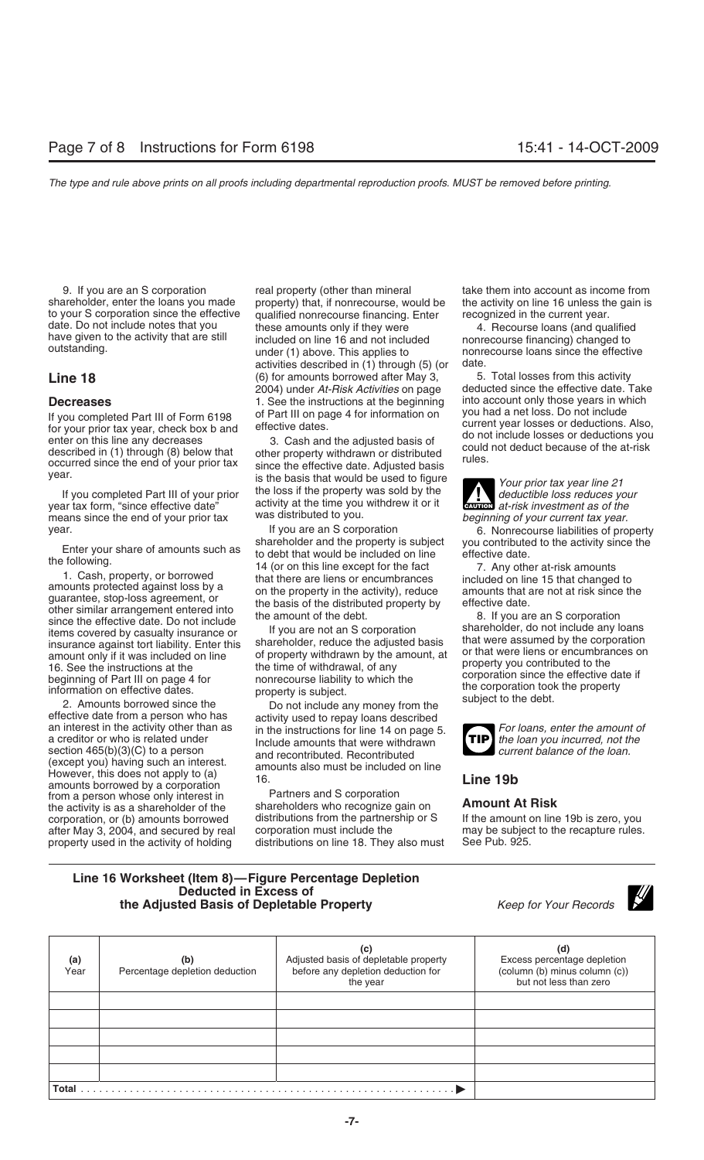If you completed Part III of Form 6198 of Part III on page 4 for information on<br>for your prior tax year, check box b and effective dates.<br>enter on this line any decreases 3. Cash and the adjusted basis of<br>described in (1)

year tax form, "since effective date" activity at the time you withdrew it or it<br>means since the end of your prior tax was distributed to you.<br>If you are an S corporation beginning of your current tax year.<br>6. Nonrecourse

(except you) having such an interest. and recommunical recommunication on line However, this does not apply to (a)  $\frac{16}{16}$ . Frowever, this does not apply to (a)<br>amounts borrowed by a corporation<br>from a person whose only interest in **Fartners** and S corporation from a person whose only interest in the activity is as a shareholder of the

9. If you are an S corporation real property (other than mineral take them into account as income from shareholder, enter the loans you made property) that, if nonrecourse, would be the activity on line 16 unless the gain is to your S corporation since the effective qualified nonrecourse financing. Enter recognized in the current year.<br>
date. Do not include notes that you these amounts only if they were 4. Recourse loans (and quality date. Do not include notes that you these amounts only if they were that we given to the activity that are still<br>have given to the activity that are still included on line 16 and not included nonrecourse financing) changed activities described in (1) through (5) (or date. **Line 18** (6) for amounts borrowed after May 3, 5. Total losses from this activity<br>2004) under At-Risk Activities on page deducted since the effective date. Take 2004) under *At-Risk Activities* on page deducted since the effective date. Take **Decreases**<br>If you completed Part III of Form 6198 of Part III on page 4 for information on you had a net loss. Do not include

year.<br>If you completed Part III of your prior the loss if the property was sold by the<br>year tax form, "since effective date" activity at the time you withdrew it or it<br>year tax form, "since effective date" activity at the

Enter your share of amounts such as<br>
to debt that would be included on line<br>
the following.<br>
1. Cash, property, or borrowed<br>
1. Cash, property, or borrowed<br>
1. Cash, property, or borrowed<br>
1. Cash, property, or borrowed<br>
t

a creditor or who is related under<br>section 465(b)(3)(C) to a person and recontributed. Recontributed and recontributed and recontributed and a current balance of the loan.

shareholders who recognize gain on **Amount At Risk**<br>distributions from the partnership or S If the amount on line 19b is zero, you corporation, or (b) amounts borrowed distributions from the partnership or S If the amount on line 19b is zero, you<br>after May 3, 2004, and secured by real corporation must include the may be subject to the recapture rules. after May 3, 2004, and secured by real corporation must include the may be subject property used in the activity of holding distributions on line 18. They also must See Pub. 925. property used in the activity of holding distributions on line 18. They also must

**ENTION** at-risk investment as of the

year. If you are an S corporation by the Supering 6. Nonrecourse liabilities of property<br>Shareholder and the property is subject by you contributed to the activity since the

Shareholder, do not include any loans<br>
insurance against tort liability. Enter this<br>
insurance against tort liability. Enter this<br>
insurance against tort liability. Enter this<br>
the corporation amount only if it was include



### **Line 16 Worksheet (Item 8)—Figure Percentage Depletion Deducted in Excess of the Adjusted Basis of Depletable Property** *Keep for Your Records*



| (a)<br>Year  | (b)<br>Percentage depletion deduction | (C)<br>Adjusted basis of depletable property<br>before any depletion deduction for<br>the year | (d<br>Excess percentage depletion<br>(column (b) minus column (c))<br>but not less than zero |
|--------------|---------------------------------------|------------------------------------------------------------------------------------------------|----------------------------------------------------------------------------------------------|
|              |                                       |                                                                                                |                                                                                              |
|              |                                       |                                                                                                |                                                                                              |
|              |                                       |                                                                                                |                                                                                              |
|              |                                       |                                                                                                |                                                                                              |
|              |                                       |                                                                                                |                                                                                              |
| <b>Total</b> |                                       |                                                                                                |                                                                                              |